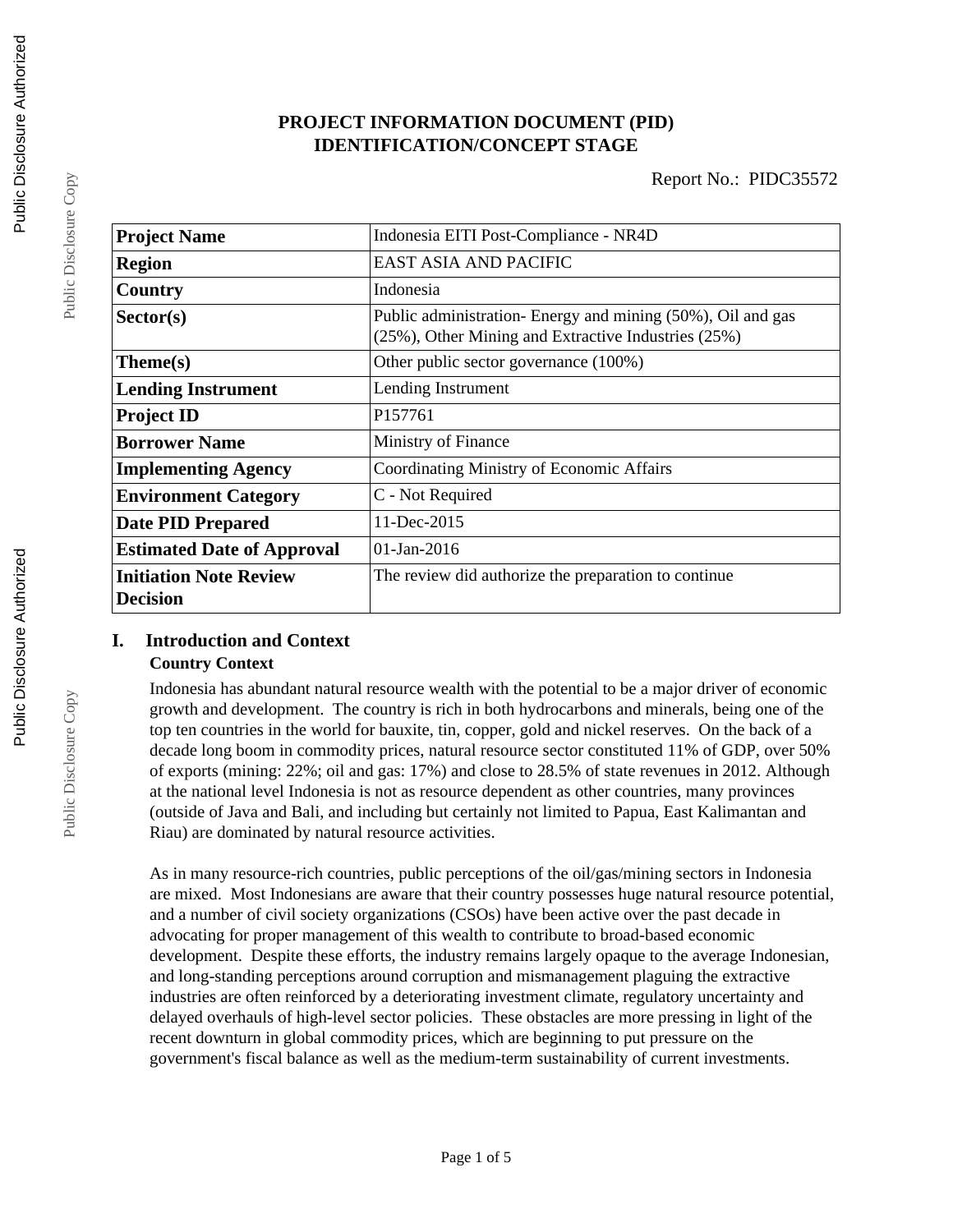## **PROJECT INFORMATION DOCUMENT (PID) IDENTIFICATION/CONCEPT STAGE**

| <b>Project Name</b>                              | Indonesia EITI Post-Compliance - NR4D                                                                              |  |  |
|--------------------------------------------------|--------------------------------------------------------------------------------------------------------------------|--|--|
| <b>Region</b>                                    | <b>EAST ASIA AND PACIFIC</b>                                                                                       |  |  |
| Country                                          | Indonesia                                                                                                          |  |  |
| Sector(s)                                        | Public administration- Energy and mining (50%), Oil and gas<br>(25%), Other Mining and Extractive Industries (25%) |  |  |
| Theme(s)                                         | Other public sector governance (100%)                                                                              |  |  |
| <b>Lending Instrument</b>                        | Lending Instrument                                                                                                 |  |  |
| <b>Project ID</b>                                | P157761                                                                                                            |  |  |
| <b>Borrower Name</b>                             | Ministry of Finance                                                                                                |  |  |
| <b>Implementing Agency</b>                       | Coordinating Ministry of Economic Affairs                                                                          |  |  |
| <b>Environment Category</b>                      | C - Not Required                                                                                                   |  |  |
| <b>Date PID Prepared</b>                         | 11-Dec-2015                                                                                                        |  |  |
| <b>Estimated Date of Approval</b>                | $01$ -Jan-2016                                                                                                     |  |  |
| <b>Initiation Note Review</b><br><b>Decision</b> | The review did authorize the preparation to continue                                                               |  |  |

# **I. Introduction and Context**

## **Country Context**

Indonesia has abundant natural resource wealth with the potential to be a major driver of economic growth and development. The country is rich in both hydrocarbons and minerals, being one of the top ten countries in the world for bauxite, tin, copper, gold and nickel reserves. On the back of a decade long boom in commodity prices, natural resource sector constituted 11% of GDP, over 50% of exports (mining: 22%; oil and gas: 17%) and close to 28.5% of state revenues in 2012. Although at the national level Indonesia is not as resource dependent as other countries, many provinces (outside of Java and Bali, and including but certainly not limited to Papua, East Kalimantan and Riau) are dominated by natural resource activities.

As in many resource-rich countries, public perceptions of the oil/gas/mining sectors in Indonesia are mixed. Most Indonesians are aware that their country possesses huge natural resource potential, and a number of civil society organizations (CSOs) have been active over the past decade in advocating for proper management of this wealth to contribute to broad-based economic development. Despite these efforts, the industry remains largely opaque to the average Indonesian, and long-standing perceptions around corruption and mismanagement plaguing the extractive industries are often reinforced by a deteriorating investment climate, regulatory uncertainty and delayed overhauls of high-level sector policies. These obstacles are more pressing in light of the recent downturn in global commodity prices, which are beginning to put pressure on the government's fiscal balance as well as the medium-term sustainability of current investments.

Public Disclosure Copy

Public Disclosure Copy

Public Disclosure Copy

Public Disclosure Copy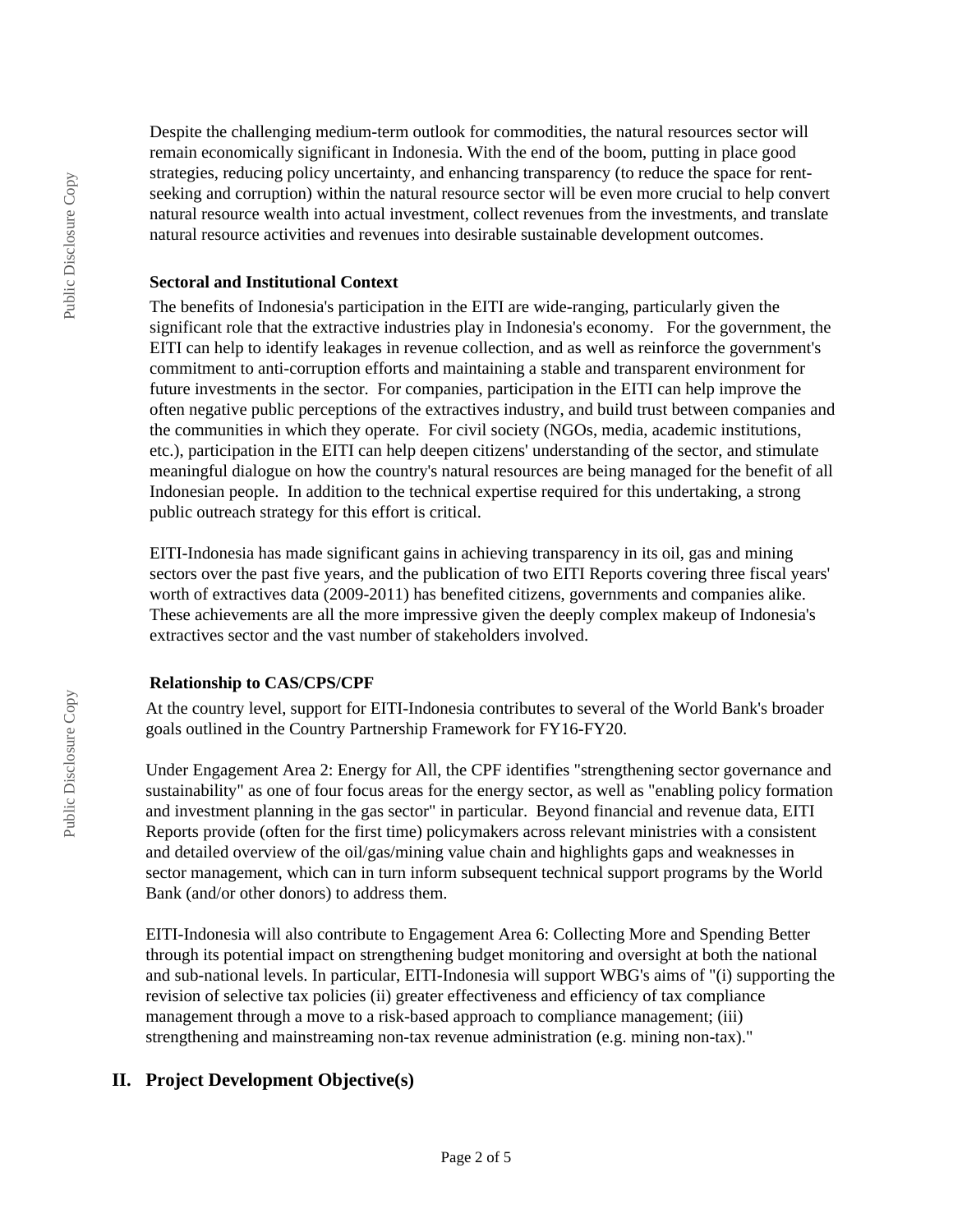Despite the challenging medium-term outlook for commodities, the natural resources sector will remain economically significant in Indonesia. With the end of the boom, putting in place good strategies, reducing policy uncertainty, and enhancing transparency (to reduce the space for rentseeking and corruption) within the natural resource sector will be even more crucial to help convert natural resource wealth into actual investment, collect revenues from the investments, and translate natural resource activities and revenues into desirable sustainable development outcomes.

#### **Sectoral and Institutional Context**

The benefits of Indonesia's participation in the EITI are wide-ranging, particularly given the significant role that the extractive industries play in Indonesia's economy. For the government, the EITI can help to identify leakages in revenue collection, and as well as reinforce the government's commitment to anti-corruption efforts and maintaining a stable and transparent environment for future investments in the sector. For companies, participation in the EITI can help improve the often negative public perceptions of the extractives industry, and build trust between companies and the communities in which they operate. For civil society (NGOs, media, academic institutions, etc.), participation in the EITI can help deepen citizens' understanding of the sector, and stimulate meaningful dialogue on how the country's natural resources are being managed for the benefit of all Indonesian people. In addition to the technical expertise required for this undertaking, a strong public outreach strategy for this effort is critical.

EITI-Indonesia has made significant gains in achieving transparency in its oil, gas and mining sectors over the past five years, and the publication of two EITI Reports covering three fiscal years' worth of extractives data (2009-2011) has benefited citizens, governments and companies alike. These achievements are all the more impressive given the deeply complex makeup of Indonesia's extractives sector and the vast number of stakeholders involved.

## **Relationship to CAS/CPS/CPF**

At the country level, support for EITI-Indonesia contributes to several of the World Bank's broader goals outlined in the Country Partnership Framework for FY16-FY20.

Under Engagement Area 2: Energy for All, the CPF identifies "strengthening sector governance and sustainability" as one of four focus areas for the energy sector, as well as "enabling policy formation and investment planning in the gas sector" in particular. Beyond financial and revenue data, EITI Reports provide (often for the first time) policymakers across relevant ministries with a consistent and detailed overview of the oil/gas/mining value chain and highlights gaps and weaknesses in sector management, which can in turn inform subsequent technical support programs by the World Bank (and/or other donors) to address them.

EITI-Indonesia will also contribute to Engagement Area 6: Collecting More and Spending Better through its potential impact on strengthening budget monitoring and oversight at both the national and sub-national levels. In particular, EITI-Indonesia will support WBG's aims of "(i) supporting the revision of selective tax policies (ii) greater effectiveness and efficiency of tax compliance management through a move to a risk-based approach to compliance management; (iii) strengthening and mainstreaming non-tax revenue administration (e.g. mining non-tax)."

# **II. Project Development Objective(s)**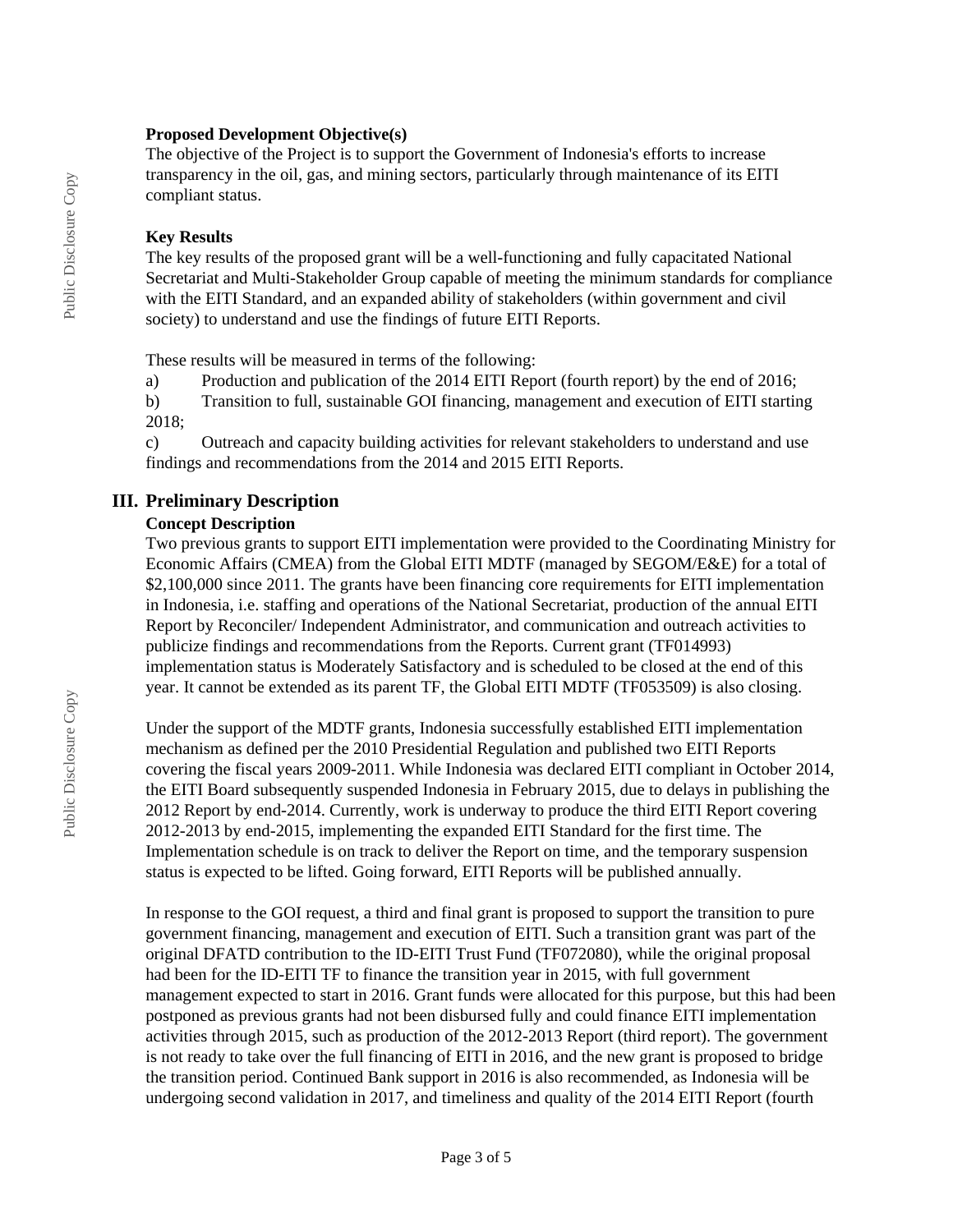#### **Proposed Development Objective(s)**

The objective of the Project is to support the Government of Indonesia's efforts to increase transparency in the oil, gas, and mining sectors, particularly through maintenance of its EITI compliant status.

#### **Key Results**

The key results of the proposed grant will be a well-functioning and fully capacitated National Secretariat and Multi-Stakeholder Group capable of meeting the minimum standards for compliance with the EITI Standard, and an expanded ability of stakeholders (within government and civil society) to understand and use the findings of future EITI Reports.

These results will be measured in terms of the following:

a) Production and publication of the 2014 EITI Report (fourth report) by the end of 2016;

b) Transition to full, sustainable GOI financing, management and execution of EITI starting 2018;

c) Outreach and capacity building activities for relevant stakeholders to understand and use findings and recommendations from the 2014 and 2015 EITI Reports.

## **III. Preliminary Description**

#### **Concept Description**

Two previous grants to support EITI implementation were provided to the Coordinating Ministry for Economic Affairs (CMEA) from the Global EITI MDTF (managed by SEGOM/E&E) for a total of \$2,100,000 since 2011. The grants have been financing core requirements for EITI implementation in Indonesia, i.e. staffing and operations of the National Secretariat, production of the annual EITI Report by Reconciler/ Independent Administrator, and communication and outreach activities to publicize findings and recommendations from the Reports. Current grant (TF014993) implementation status is Moderately Satisfactory and is scheduled to be closed at the end of this year. It cannot be extended as its parent TF, the Global EITI MDTF (TF053509) is also closing.

Under the support of the MDTF grants, Indonesia successfully established EITI implementation mechanism as defined per the 2010 Presidential Regulation and published two EITI Reports covering the fiscal years 2009-2011. While Indonesia was declared EITI compliant in October 2014, the EITI Board subsequently suspended Indonesia in February 2015, due to delays in publishing the 2012 Report by end-2014. Currently, work is underway to produce the third EITI Report covering 2012-2013 by end-2015, implementing the expanded EITI Standard for the first time. The Implementation schedule is on track to deliver the Report on time, and the temporary suspension status is expected to be lifted. Going forward, EITI Reports will be published annually.

In response to the GOI request, a third and final grant is proposed to support the transition to pure government financing, management and execution of EITI. Such a transition grant was part of the original DFATD contribution to the ID-EITI Trust Fund (TF072080), while the original proposal had been for the ID-EITI TF to finance the transition year in 2015, with full government management expected to start in 2016. Grant funds were allocated for this purpose, but this had been postponed as previous grants had not been disbursed fully and could finance EITI implementation activities through 2015, such as production of the 2012-2013 Report (third report). The government is not ready to take over the full financing of EITI in 2016, and the new grant is proposed to bridge the transition period. Continued Bank support in 2016 is also recommended, as Indonesia will be undergoing second validation in 2017, and timeliness and quality of the 2014 EITI Report (fourth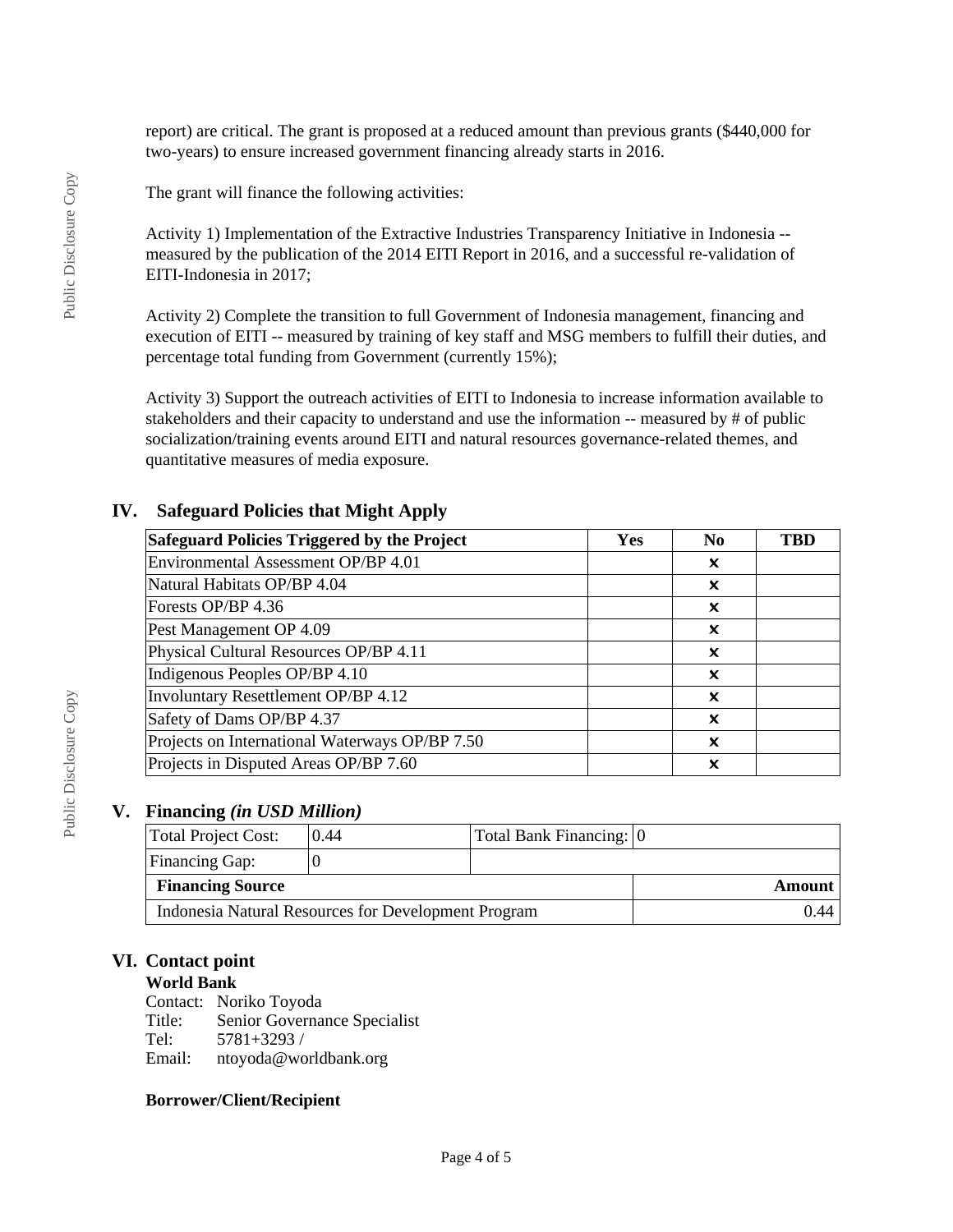report) are critical. The grant is proposed at a reduced amount than previous grants (\$440,000 for two-years) to ensure increased government financing already starts in 2016.

The grant will finance the following activities:

Activity 1) Implementation of the Extractive Industries Transparency Initiative in Indonesia - measured by the publication of the 2014 EITI Report in 2016, and a successful re-validation of EITI-Indonesia in 2017;

Activity 2) Complete the transition to full Government of Indonesia management, financing and execution of EITI -- measured by training of key staff and MSG members to fulfill their duties, and percentage total funding from Government (currently 15%);

Activity 3) Support the outreach activities of EITI to Indonesia to increase information available to stakeholders and their capacity to understand and use the information -- measured by # of public socialization/training events around EITI and natural resources governance-related themes, and quantitative measures of media exposure.

## **IV. Safeguard Policies that Might Apply**

| <b>Safeguard Policies Triggered by the Project</b> | Yes | N <sub>0</sub>            | TBD |
|----------------------------------------------------|-----|---------------------------|-----|
| Environmental Assessment OP/BP 4.01                |     | x                         |     |
| Natural Habitats OP/BP 4.04                        |     | ×                         |     |
| Forests OP/BP 4.36                                 |     | X                         |     |
| Pest Management OP 4.09                            |     | X                         |     |
| Physical Cultural Resources OP/BP 4.11             |     | $\boldsymbol{\mathsf{x}}$ |     |
| Indigenous Peoples OP/BP 4.10                      |     | X                         |     |
| Involuntary Resettlement OP/BP 4.12                |     | x                         |     |
| Safety of Dams OP/BP 4.37                          |     | x                         |     |
| Projects on International Waterways OP/BP 7.50     |     | ×                         |     |
| Projects in Disputed Areas OP/BP 7.60              |     | ×                         |     |

## **V. Financing** *(in USD Million)*

| Total Project Cost:                                 | 0.44 | Total Bank Financing: 0 |  |
|-----------------------------------------------------|------|-------------------------|--|
| <b>Financing Gap:</b>                               |      |                         |  |
| <b>Financing Source</b>                             |      | Amount                  |  |
| Indonesia Natural Resources for Development Program |      | 0.44 I                  |  |

## **VI. Contact point**

## **World Bank**

Contact: Noriko Toyoda Title: Senior Governance Specialist Tel: 5781+3293 / Email: ntoyoda@worldbank.org

## **Borrower/Client/Recipient**